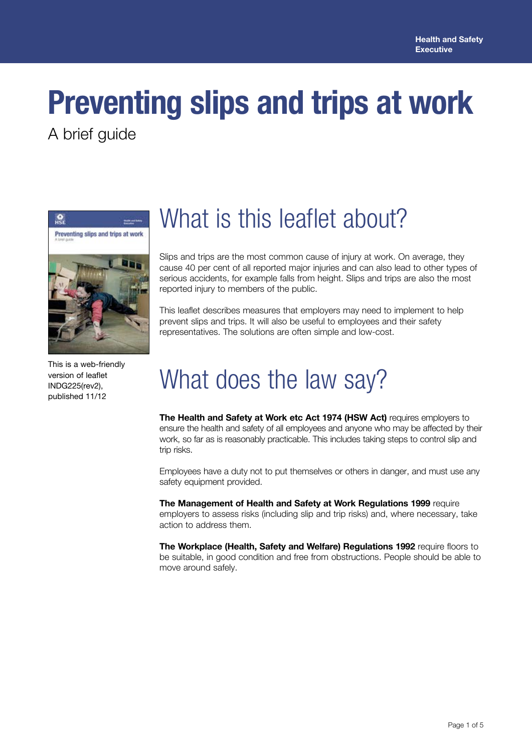# **Preventing slips and trips at work**

A brief guide



This is a web-friendly version of leaflet INDG225(rev2), published 11/12

## What is this leaflet about?

Slips and trips are the most common cause of injury at work. On average, they cause 40 per cent of all reported major injuries and can also lead to other types of serious accidents, for example falls from height. Slips and trips are also the most reported injury to members of the public.

This leaflet describes measures that employers may need to implement to help prevent slips and trips. It will also be useful to employees and their safety representatives. The solutions are often simple and low-cost.

# What does the law say?

**The Health and Safety at Work etc Act 1974 (HSW Act)** requires employers to ensure the health and safety of all employees and anyone who may be affected by their work, so far as is reasonably practicable. This includes taking steps to control slip and trip risks.

Employees have a duty not to put themselves or others in danger, and must use any safety equipment provided.

**The Management of Health and Safety at Work Regulations 1999** require employers to assess risks (including slip and trip risks) and, where necessary, take action to address them.

**The Workplace (Health, Safety and Welfare) Regulations 1992** require floors to be suitable, in good condition and free from obstructions. People should be able to move around safely.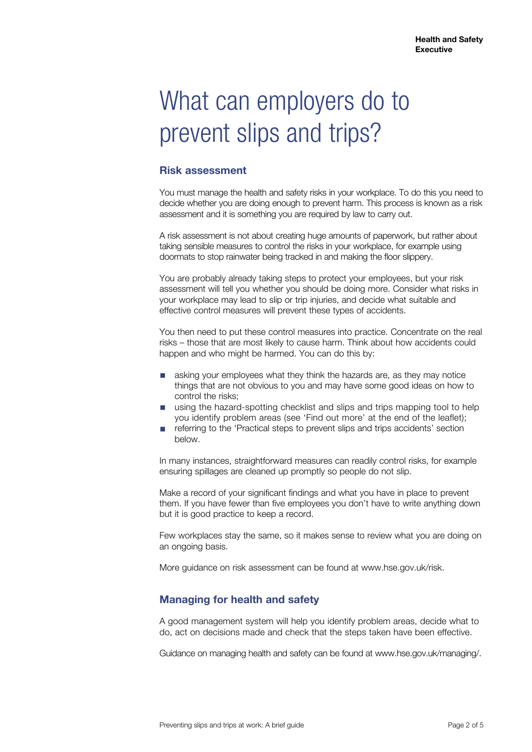# What can employers do to prevent slips and trips?

### **Risk assessment**

You must manage the health and safety risks in your workplace. To do this you need to decide whether you are doing enough to prevent harm. This process is known as a risk assessment and it is something you are required by law to carry out.

A risk assessment is not about creating huge amounts of paperwork, but rather about taking sensible measures to control the risks in your workplace, for example using doormats to stop rainwater being tracked in and making the floor slippery.

You are probably already taking steps to protect your employees, but your risk assessment will tell you whether you should be doing more. Consider what risks in your workplace may lead to slip or trip injuries, and decide what suitable and effective control measures will prevent these types of accidents.

You then need to put these control measures into practice. Concentrate on the real risks – those that are most likely to cause harm. Think about how accidents could happen and who might be harmed. You can do this by:

- asking your employees what they think the hazards are, as they may notice things that are not obvious to you and may have some good ideas on how to control the risks;
- using the hazard-spotting checklist and slips and trips mapping tool to help you identify problem areas (see 'Find out more' at the end of the leaflet);
- referring to the 'Practical steps to prevent slips and trips accidents' section below.

In many instances, straightforward measures can readily control risks, for example ensuring spillages are cleaned up promptly so people do not slip.

Make a record of your significant findings and what you have in place to prevent them. If you have fewer than five employees you don't have to write anything down but it is good practice to keep a record.

Few workplaces stay the same, so it makes sense to review what you are doing on an ongoing basis.

More guidance on risk assessment can be found at www.hse.gov.uk/risk.

### **Managing for health and safety**

A good management system will help you identify problem areas, decide what to do, act on decisions made and check that the steps taken have been effective.

Guidance on managing health and safety can be found at www.hse.gov.uk/managing/.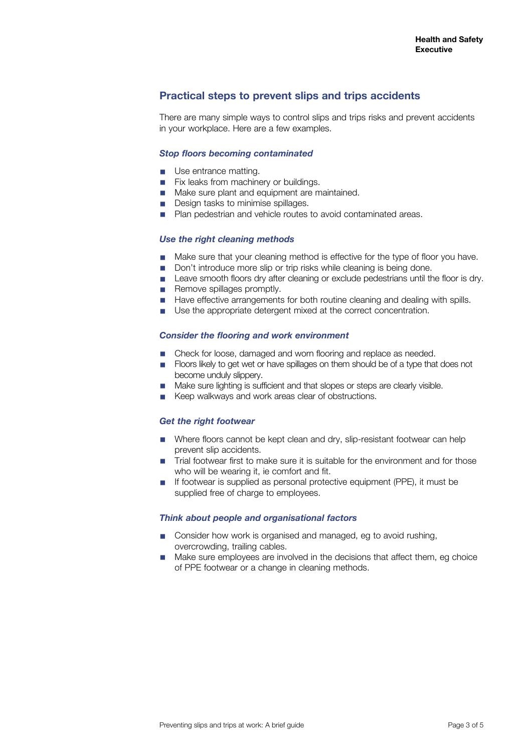### **Practical steps to prevent slips and trips accidents**

There are many simple ways to control slips and trips risks and prevent accidents in your workplace. Here are a few examples.

#### *Stop floors becoming contaminated*

- Use entrance matting.
- Fix leaks from machinery or buildings.
- Make sure plant and equipment are maintained.
- Design tasks to minimise spillages.
- Plan pedestrian and vehicle routes to avoid contaminated areas.

#### *Use the right cleaning methods*

- Make sure that your cleaning method is effective for the type of floor you have.
- Don't introduce more slip or trip risks while cleaning is being done.
- Leave smooth floors dry after cleaning or exclude pedestrians until the floor is dry.
- Remove spillages promptly.
- Have effective arrangements for both routine cleaning and dealing with spills.
- Use the appropriate detergent mixed at the correct concentration.

#### *Consider the flooring and work environment*

- Check for loose, damaged and worn flooring and replace as needed.
- Floors likely to get wet or have spillages on them should be of a type that does not become unduly slippery.
- Make sure lighting is sufficient and that slopes or steps are clearly visible.<br>■ Keep walkways and work areas clear of obstructions
- Keep walkways and work areas clear of obstructions.

#### *Get the right footwear*

- Where floors cannot be kept clean and dry, slip-resistant footwear can help prevent slip accidents.
- Trial footwear first to make sure it is suitable for the environment and for those who will be wearing it, ie comfort and fit.
- If footwear is supplied as personal protective equipment (PPE), it must be supplied free of charge to employees.

#### *Think about people and organisational factors*

- Consider how work is organised and managed, eg to avoid rushing, overcrowding, trailing cables.
- Make sure employees are involved in the decisions that affect them, eg choice of PPE footwear or a change in cleaning methods.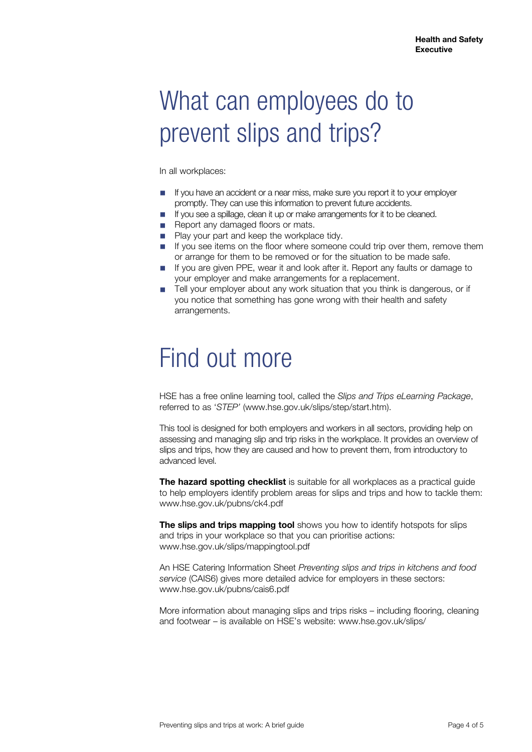## What can employees do to prevent slips and trips?

In all workplaces:

- If you have an accident or a near miss, make sure you report it to your employer promptly. They can use this information to prevent future accidents.
- If you see a spillage, clean it up or make arrangements for it to be cleaned.
- Report any damaged floors or mats.
- Play your part and keep the workplace tidy.
- If you see items on the floor where someone could trip over them, remove them or arrange for them to be removed or for the situation to be made safe.
- If you are given PPE, wear it and look after it. Report any faults or damage to your employer and make arrangements for a replacement.
- Tell your employer about any work situation that you think is dangerous, or if you notice that something has gone wrong with their health and safety arrangements.

### Find out more

HSE has a free online learning tool, called the *Slips and Trips eLearning Package*, referred to as '*STEP'* (www.hse.gov.uk/slips/step/start.htm).

This tool is designed for both employers and workers in all sectors, providing help on assessing and managing slip and trip risks in the workplace. It provides an overview of slips and trips, how they are caused and how to prevent them, from introductory to advanced level.

**The hazard spotting checklist** is suitable for all workplaces as a practical guide to help employers identify problem areas for slips and trips and how to tackle them: www.hse.gov.uk/pubns/ck4.pdf

**The slips and trips mapping tool** shows you how to identify hotspots for slips and trips in your workplace so that you can prioritise actions: www.hse.gov.uk/slips/mappingtool.pdf

An HSE Catering Information Sheet *Preventing slips and trips in kitchens and food service* (CAIS6) gives more detailed advice for employers in these sectors: www.hse.gov.uk/pubns/cais6.pdf

More information about managing slips and trips risks – including flooring, cleaning and footwear – is available on HSE's website: www.hse.gov.uk/slips/